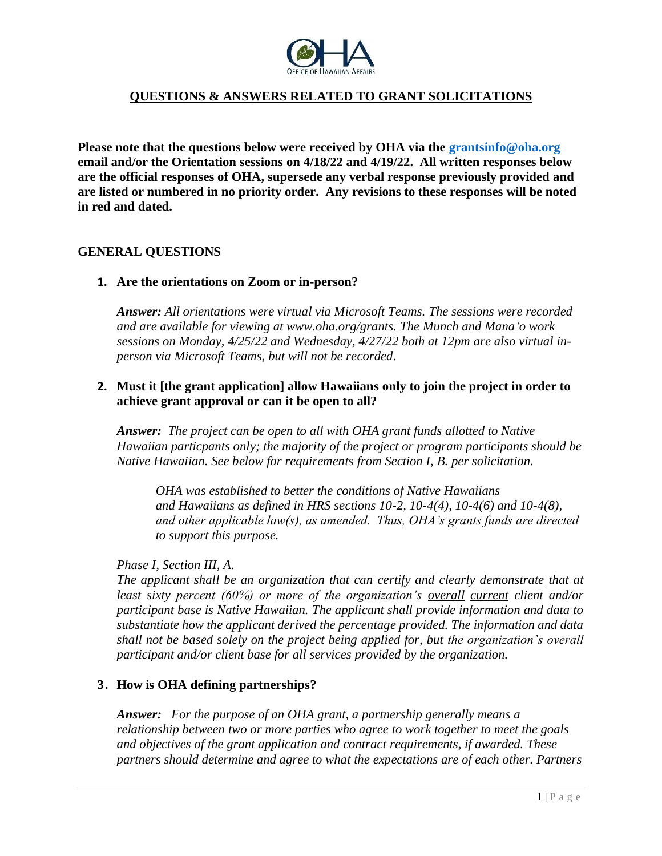

**Please note that the questions below were received by OHA via the [grantsinfo@oha.org](mailto:grantsinfo@oha.org) email and/or the Orientation sessions on 4/18/22 and 4/19/22. All written responses below are the official responses of OHA, supersede any verbal response previously provided and are listed or numbered in no priority order. Any revisions to these responses will be noted in red and dated.**

#### **GENERAL QUESTIONS**

**1. Are the orientations on Zoom or in-person?**

*Answer: All orientations were virtual via Microsoft Teams. The sessions were recorded and are available for viewing at www.oha.org/grants. The Munch and Manaʻo work sessions on Monday, 4/25/22 and Wednesday, 4/27/22 both at 12pm are also virtual inperson via Microsoft Teams, but will not be recorded.*

### **2. Must it [the grant application] allow Hawaiians only to join the project in order to achieve grant approval or can it be open to all?**

*Answer: The project can be open to all with OHA grant funds allotted to Native Hawaiian particpants only; the majority of the project or program participants should be Native Hawaiian. See below for requirements from Section I, B. per solicitation.*

*OHA was established to better the conditions of Native Hawaiians and Hawaiians as defined in HRS sections 10-2, 10-4(4), 10-4(6) and 10-4(8), and other applicable law(s), as amended. Thus, OHA's grants funds are directed to support this purpose.*

#### *Phase I, Section III, A.*

*The applicant shall be an organization that can certify and clearly demonstrate that at least sixty percent (60%) or more of the organization's overall current client and/or participant base is Native Hawaiian. The applicant shall provide information and data to substantiate how the applicant derived the percentage provided. The information and data shall not be based solely on the project being applied for, but the organization's overall participant and/or client base for all services provided by the organization.*

#### **3. How is OHA defining partnerships?**

*Answer: For the purpose of an OHA grant, a partnership generally means a relationship between two or more parties who agree to work together to meet the goals and objectives of the grant application and contract requirements, if awarded. These partners should determine and agree to what the expectations are of each other. Partners*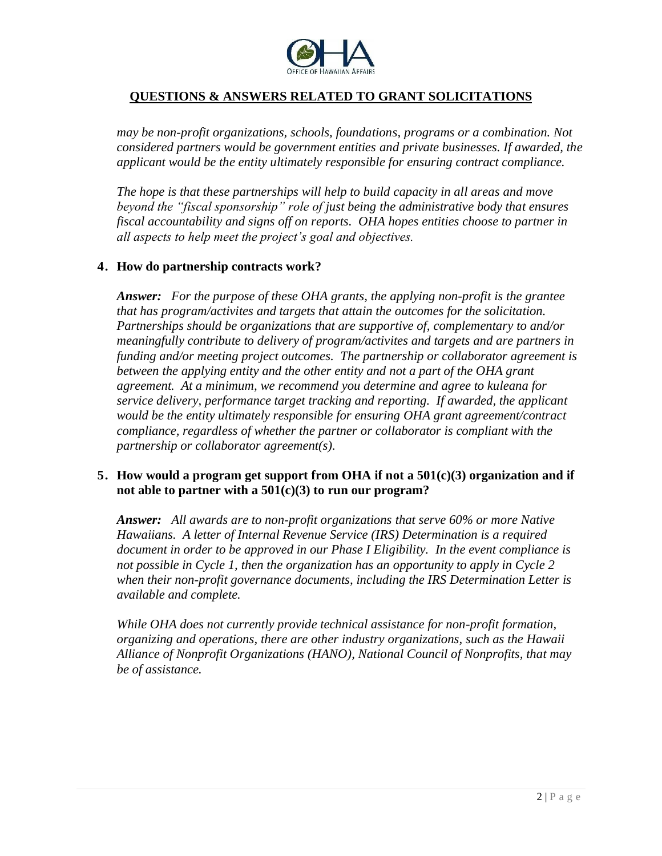

*may be non-profit organizations, schools, foundations, programs or a combination. Not considered partners would be government entities and private businesses. If awarded, the applicant would be the entity ultimately responsible for ensuring contract compliance.*

*The hope is that these partnerships will help to build capacity in all areas and move beyond the "fiscal sponsorship" role of just being the administrative body that ensures fiscal accountability and signs off on reports. OHA hopes entities choose to partner in all aspects to help meet the project's goal and objectives.*

### **4. How do partnership contracts work?**

*Answer: For the purpose of these OHA grants, the applying non-profit is the grantee that has program/activites and targets that attain the outcomes for the solicitation. Partnerships should be organizations that are supportive of, complementary to and/or meaningfully contribute to delivery of program/activites and targets and are partners in funding and/or meeting project outcomes. The partnership or collaborator agreement is between the applying entity and the other entity and not a part of the OHA grant agreement. At a minimum, we recommend you determine and agree to kuleana for service delivery, performance target tracking and reporting. If awarded, the applicant would be the entity ultimately responsible for ensuring OHA grant agreement/contract compliance, regardless of whether the partner or collaborator is compliant with the partnership or collaborator agreement(s).*

## **5. How would a program get support from OHA if not a 501(c)(3) organization and if not able to partner with a 501(c)(3) to run our program?**

*Answer: All awards are to non-profit organizations that serve 60% or more Native Hawaiians. A letter of Internal Revenue Service (IRS) Determination is a required document in order to be approved in our Phase I Eligibility. In the event compliance is not possible in Cycle 1, then the organization has an opportunity to apply in Cycle 2 when their non-profit governance documents, including the IRS Determination Letter is available and complete.*

*While OHA does not currently provide technical assistance for non-profit formation, organizing and operations, there are other industry organizations, such as the Hawaii Alliance of Nonprofit Organizations (HANO), National Council of Nonprofits, that may be of assistance.*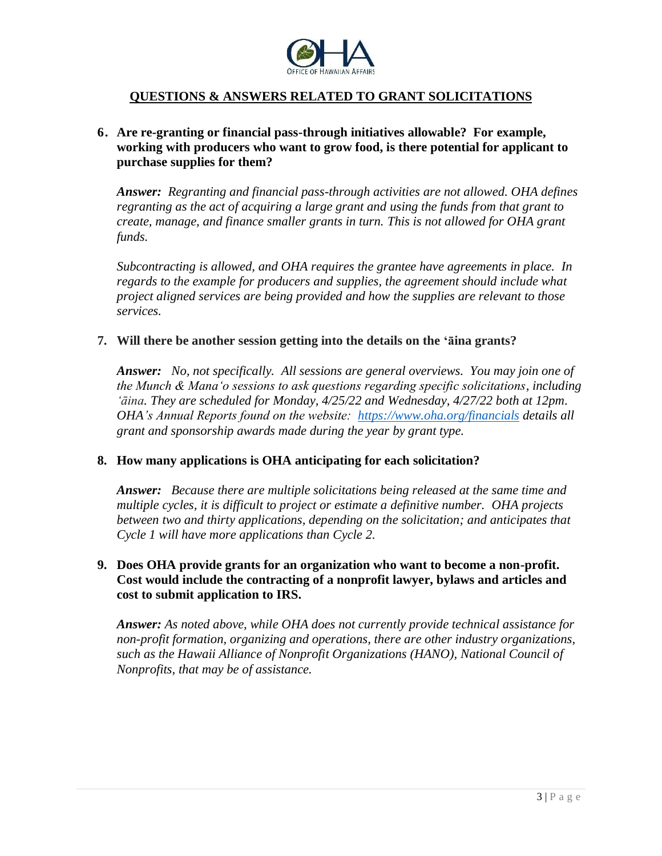

## **6. Are re-granting or financial pass-through initiatives allowable? For example, working with producers who want to grow food, is there potential for applicant to purchase supplies for them?**

*Answer: Regranting and financial pass-through activities are not allowed. OHA defines regranting as the act of acquiring a large grant and using the funds from that grant to create, manage, and finance smaller grants in turn. This is not allowed for OHA grant funds.*

*Subcontracting is allowed, and OHA requires the grantee have agreements in place. In regards to the example for producers and supplies, the agreement should include what project aligned services are being provided and how the supplies are relevant to those services.*

#### **7. Will there be another session getting into the details on the ʻāina grants?**

*Answer: No, not specifically. All sessions are general overviews. You may join one of the Munch & Mana'o sessions to ask questions regarding specific solicitations, including ʻāina. They are scheduled for Monday, 4/25/22 and Wednesday, 4/27/22 both at 12pm. OHA's Annual Reports found on the website: <https://www.oha.org/financials> details all grant and sponsorship awards made during the year by grant type.*

### **8. How many applications is OHA anticipating for each solicitation?**

*Answer: Because there are multiple solicitations being released at the same time and multiple cycles, it is difficult to project or estimate a definitive number. OHA projects between two and thirty applications, depending on the solicitation; and anticipates that Cycle 1 will have more applications than Cycle 2.*

## **9. Does OHA provide grants for an organization who want to become a non-profit. Cost would include the contracting of a nonprofit lawyer, bylaws and articles and cost to submit application to IRS.**

*Answer: As noted above, while OHA does not currently provide technical assistance for non-profit formation, organizing and operations, there are other industry organizations, such as the Hawaii Alliance of Nonprofit Organizations (HANO), National Council of Nonprofits, that may be of assistance.*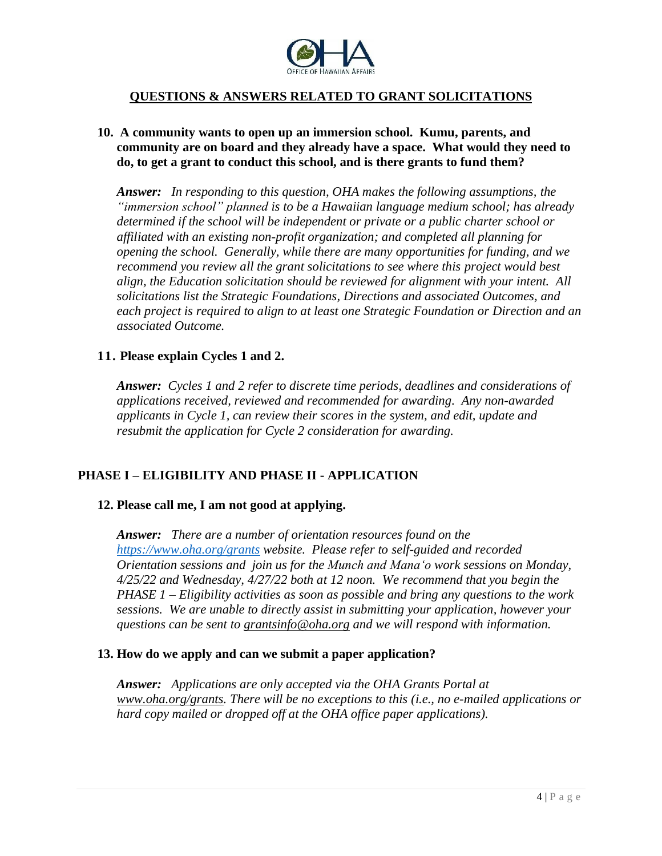

## **10. A community wants to open up an immersion school. Kumu, parents, and community are on board and they already have a space. What would they need to do, to get a grant to conduct this school, and is there grants to fund them?**

*Answer: In responding to this question, OHA makes the following assumptions, the "immersion school" planned is to be a Hawaiian language medium school; has already determined if the school will be independent or private or a public charter school or affiliated with an existing non-profit organization; and completed all planning for opening the school. Generally, while there are many opportunities for funding, and we recommend you review all the grant solicitations to see where this project would best align, the Education solicitation should be reviewed for alignment with your intent. All solicitations list the Strategic Foundations, Directions and associated Outcomes, and each project is required to align to at least one Strategic Foundation or Direction and an associated Outcome.* 

### **11. Please explain Cycles 1 and 2.**

*Answer: Cycles 1 and 2 refer to discrete time periods, deadlines and considerations of applications received, reviewed and recommended for awarding. Any non-awarded applicants in Cycle 1, can review their scores in the system, and edit, update and resubmit the application for Cycle 2 consideration for awarding.*

# **PHASE I – ELIGIBILITY AND PHASE II - APPLICATION**

### **12. Please call me, I am not good at applying.**

*Answer: There are a number of orientation resources found on the <https://www.oha.org/grants> website. Please refer to self-guided and recorded Orientation sessions and join us for the Munch and Manaʻo work sessions on Monday, 4/25/22 and Wednesday, 4/27/22 both at 12 noon. We recommend that you begin the PHASE 1 – Eligibility activities as soon as possible and bring any questions to the work sessions. We are unable to directly assist in submitting your application, however your questions can be sent to [grantsinfo@oha.org](mailto:grantsinfo@oha.org) and we will respond with information.*

#### **13. How do we apply and can we submit a paper application?**

*Answer: Applications are only accepted via the OHA Grants Portal at [www.oha.org/grants.](http://www.oha.org/grants) There will be no exceptions to this (i.e., no e-mailed applications or hard copy mailed or dropped off at the OHA office paper applications).*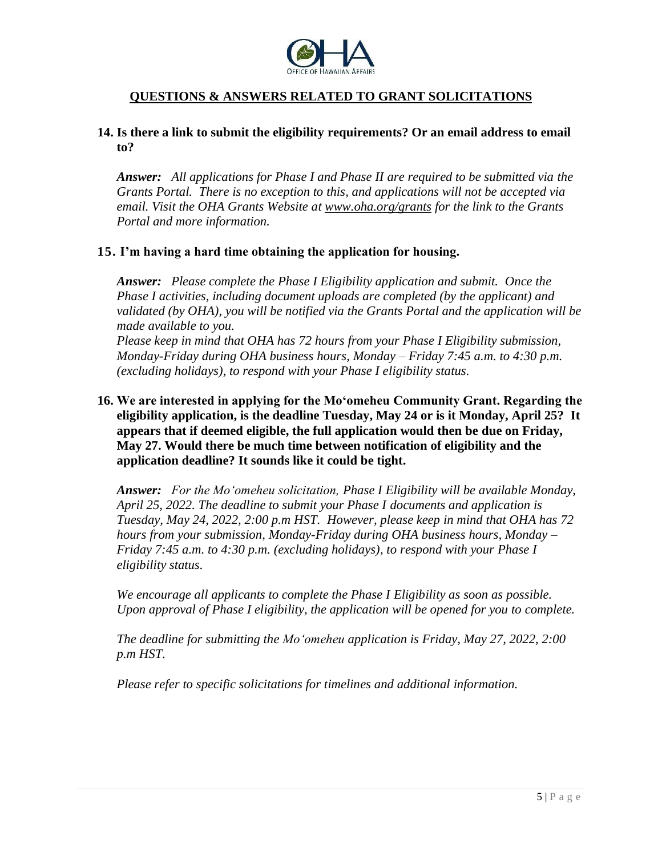

## **14. Is there a link to submit the eligibility requirements? Or an email address to email to?**

*Answer: All applications for Phase I and Phase II are required to be submitted via the Grants Portal. There is no exception to this, and applications will not be accepted via email. Visit the OHA Grants Website at [www.oha.org/grants](http://www.oha.org/grants) for the link to the Grants Portal and more information.*

#### **15. I'm having a hard time obtaining the application for housing.**

*Answer: Please complete the Phase I Eligibility application and submit. Once the Phase I activities, including document uploads are completed (by the applicant) and validated (by OHA), you will be notified via the Grants Portal and the application will be made available to you.*

*Please keep in mind that OHA has 72 hours from your Phase I Eligibility submission, Monday-Friday during OHA business hours, Monday – Friday 7:45 a.m. to 4:30 p.m. (excluding holidays), to respond with your Phase I eligibility status.*

**16. We are interested in applying for the Mo'omeheu Community Grant. Regarding the eligibility application, is the deadline Tuesday, May 24 or is it Monday, April 25? It appears that if deemed eligible, the full application would then be due on Friday, May 27. Would there be much time between notification of eligibility and the application deadline? It sounds like it could be tight.**

*Answer: For the Mo'omeheu solicitation, Phase I Eligibility will be available Monday, April 25, 2022. The deadline to submit your Phase I documents and application is Tuesday, May 24, 2022, 2:00 p.m HST. However, please keep in mind that OHA has 72 hours from your submission, Monday-Friday during OHA business hours, Monday – Friday 7:45 a.m. to 4:30 p.m. (excluding holidays), to respond with your Phase I eligibility status.*

*We encourage all applicants to complete the Phase I Eligibility as soon as possible. Upon approval of Phase I eligibility, the application will be opened for you to complete.*

*The deadline for submitting the Mo'omeheu application is Friday, May 27, 2022, 2:00 p.m HST.*

*Please refer to specific solicitations for timelines and additional information.*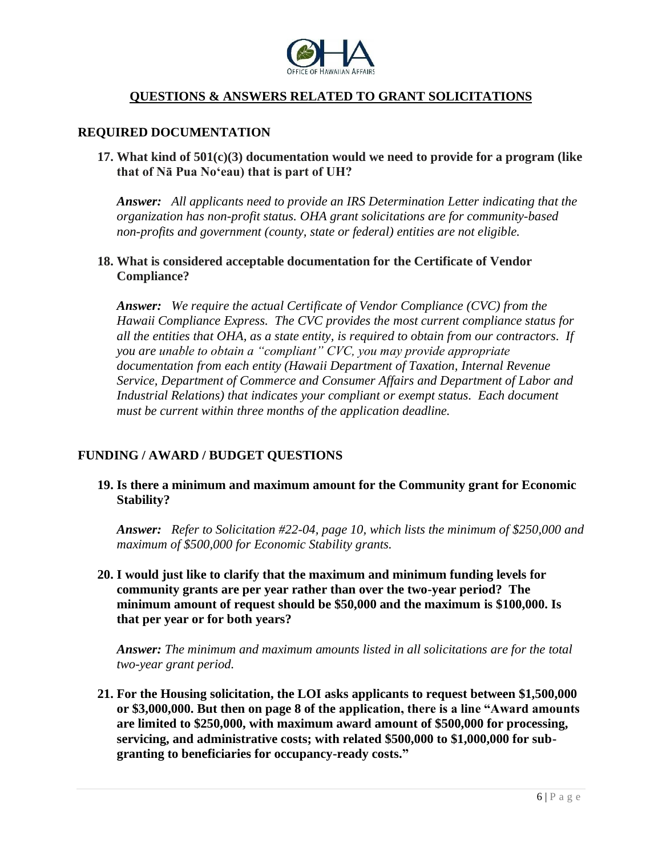

#### **REQUIRED DOCUMENTATION**

**17. What kind of 501(c)(3) documentation would we need to provide for a program (like that of Nā Pua No'eau) that is part of UH?**

*Answer: All applicants need to provide an IRS Determination Letter indicating that the organization has non-profit status. OHA grant solicitations are for community-based non-profits and government (county, state or federal) entities are not eligible.*

#### **18. What is considered acceptable documentation for the Certificate of Vendor Compliance?**

*Answer: We require the actual Certificate of Vendor Compliance (CVC) from the Hawaii Compliance Express. The CVC provides the most current compliance status for all the entities that OHA, as a state entity, is required to obtain from our contractors. If you are unable to obtain a "compliant" CVC, you may provide appropriate documentation from each entity (Hawaii Department of Taxation, Internal Revenue Service, Department of Commerce and Consumer Affairs and Department of Labor and Industrial Relations) that indicates your compliant or exempt status. Each document must be current within three months of the application deadline.*

### **FUNDING / AWARD / BUDGET QUESTIONS**

**19. Is there a minimum and maximum amount for the Community grant for Economic Stability?**

*Answer: Refer to Solicitation #22-04, page 10, which lists the minimum of \$250,000 and maximum of \$500,000 for Economic Stability grants.*

**20. I would just like to clarify that the maximum and minimum funding levels for community grants are per year rather than over the two-year period? The minimum amount of request should be \$50,000 and the maximum is \$100,000. Is that per year or for both years?**

*Answer: The minimum and maximum amounts listed in all solicitations are for the total two-year grant period.*

**21. For the Housing solicitation, the LOI asks applicants to request between \$1,500,000 or \$3,000,000. But then on page 8 of the application, there is a line "Award amounts are limited to \$250,000, with maximum award amount of \$500,000 for processing, servicing, and administrative costs; with related \$500,000 to \$1,000,000 for subgranting to beneficiaries for occupancy-ready costs."**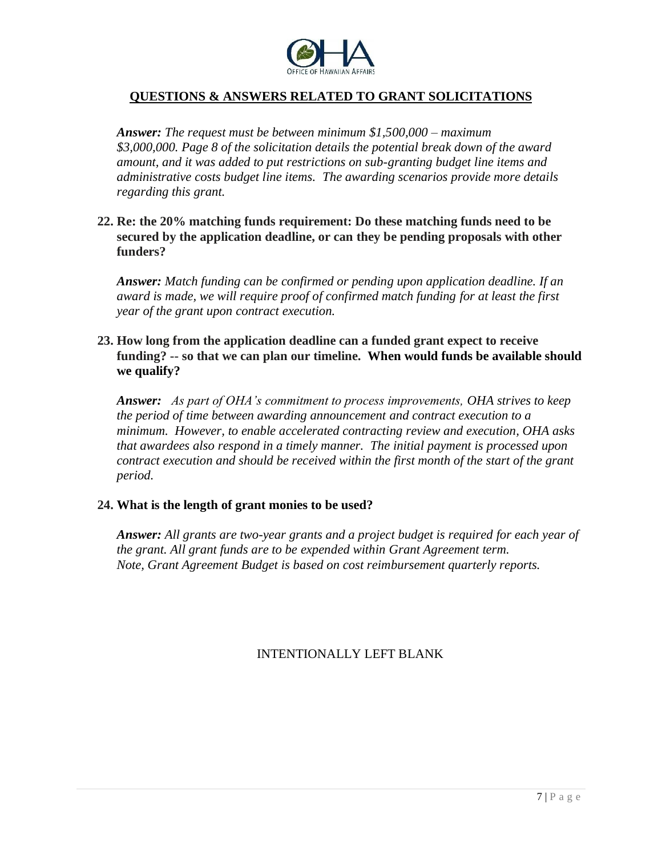

*Answer: The request must be between minimum \$1,500,000 – maximum \$3,000,000. Page 8 of the solicitation details the potential break down of the award amount, and it was added to put restrictions on sub-granting budget line items and administrative costs budget line items. The awarding scenarios provide more details regarding this grant.*

**22. Re: the 20% matching funds requirement: Do these matching funds need to be secured by the application deadline, or can they be pending proposals with other funders?**

*Answer: Match funding can be confirmed or pending upon application deadline. If an award is made, we will require proof of confirmed match funding for at least the first year of the grant upon contract execution.*

### **23. How long from the application deadline can a funded grant expect to receive funding? -- so that we can plan our timeline. When would funds be available should we qualify?**

*Answer: As part of OHA's commitment to process improvements, OHA strives to keep the period of time between awarding announcement and contract execution to a minimum. However, to enable accelerated contracting review and execution, OHA asks that awardees also respond in a timely manner. The initial payment is processed upon contract execution and should be received within the first month of the start of the grant period.*

### **24. What is the length of grant monies to be used?**

*Answer: All grants are two-year grants and a project budget is required for each year of the grant. All grant funds are to be expended within Grant Agreement term. Note, Grant Agreement Budget is based on cost reimbursement quarterly reports.*

# INTENTIONALLY LEFT BLANK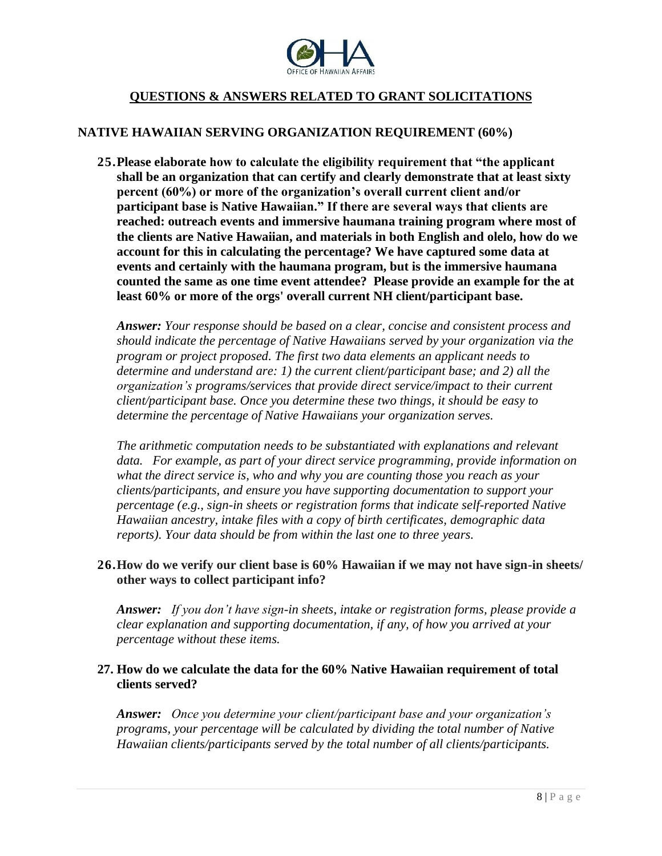

### **NATIVE HAWAIIAN SERVING ORGANIZATION REQUIREMENT (60%)**

**25.Please elaborate how to calculate the eligibility requirement that "the applicant shall be an organization that can certify and clearly demonstrate that at least sixty percent (60%) or more of the organization's overall current client and/or participant base is Native Hawaiian." If there are several ways that clients are reached: outreach events and immersive haumana training program where most of the clients are Native Hawaiian, and materials in both English and olelo, how do we account for this in calculating the percentage? We have captured some data at events and certainly with the haumana program, but is the immersive haumana counted the same as one time event attendee? Please provide an example for the at least 60% or more of the orgs' overall current NH client/participant base.**

*Answer: Your response should be based on a clear, concise and consistent process and should indicate the percentage of Native Hawaiians served by your organization via the program or project proposed. The first two data elements an applicant needs to determine and understand are: 1) the current client/participant base; and 2) all the organization's programs/services that provide direct service/impact to their current client/participant base. Once you determine these two things, it should be easy to determine the percentage of Native Hawaiians your organization serves.*

*The arithmetic computation needs to be substantiated with explanations and relevant data. For example, as part of your direct service programming, provide information on what the direct service is, who and why you are counting those you reach as your clients/participants, and ensure you have supporting documentation to support your percentage (e.g., sign-in sheets or registration forms that indicate self-reported Native Hawaiian ancestry, intake files with a copy of birth certificates, demographic data reports). Your data should be from within the last one to three years.*

## **26.How do we verify our client base is 60% Hawaiian if we may not have sign-in sheets/ other ways to collect participant info?**

*Answer: If you don't have sign-in sheets, intake or registration forms, please provide a clear explanation and supporting documentation, if any, of how you arrived at your percentage without these items.*

## **27. How do we calculate the data for the 60% Native Hawaiian requirement of total clients served?**

*Answer: Once you determine your client/participant base and your organization's programs, your percentage will be calculated by dividing the total number of Native Hawaiian clients/participants served by the total number of all clients/participants.*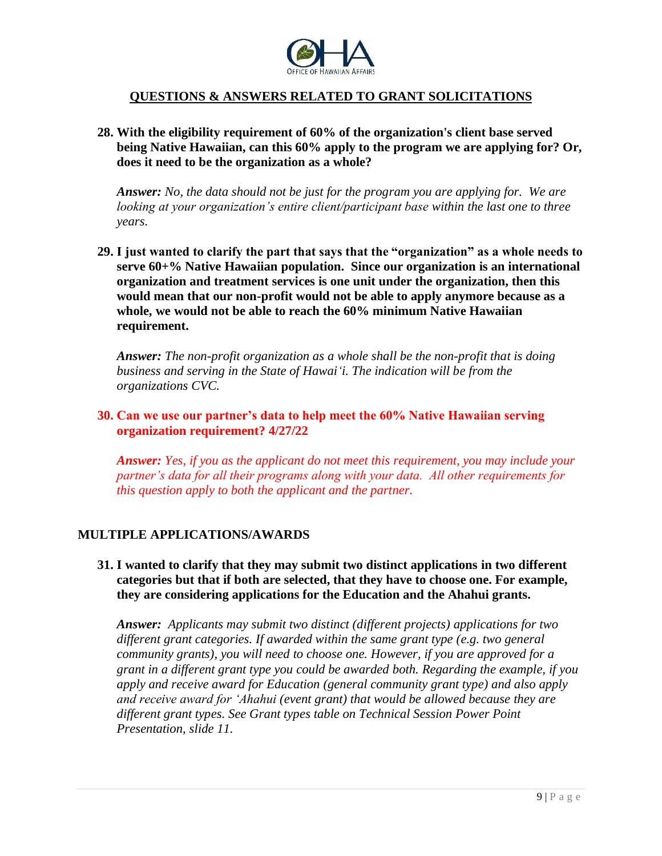

**28. With the eligibility requirement of 60% of the organization's client base served being Native Hawaiian, can this 60% apply to the program we are applying for? Or, does it need to be the organization as a whole?**

*Answer: No, the data should not be just for the program you are applying for. We are looking at your organization's entire client/participant base within the last one to three years.*

**29. I just wanted to clarify the part that says that the "organization" as a whole needs to serve 60+% Native Hawaiian population. Since our organization is an international organization and treatment services is one unit under the organization, then this would mean that our non-profit would not be able to apply anymore because as a whole, we would not be able to reach the 60% minimum Native Hawaiian requirement.**

*Answer: The non-profit organization as a whole shall be the non-profit that is doing business and serving in the State of Hawaiʻi. The indication will be from the organizations CVC.*

### **30. Can we use our partner's data to help meet the 60% Native Hawaiian serving organization requirement? 4/27/22**

*Answer: Yes, if you as the applicant do not meet this requirement, you may include your partner's data for all their programs along with your data. All other requirements for this question apply to both the applicant and the partner.*

# **MULTIPLE APPLICATIONS/AWARDS**

**31. I wanted to clarify that they may submit two distinct applications in two different categories but that if both are selected, that they have to choose one. For example, they are considering applications for the Education and the Ahahui grants.**

*Answer: Applicants may submit two distinct (different projects) applications for two different grant categories. If awarded within the same grant type (e.g. two general community grants), you will need to choose one. However, if you are approved for a grant in a different grant type you could be awarded both. Regarding the example, if you apply and receive award for Education (general community grant type) and also apply and receive award for ʻAhahui (event grant) that would be allowed because they are different grant types. See Grant types table on Technical Session Power Point Presentation, slide 11.*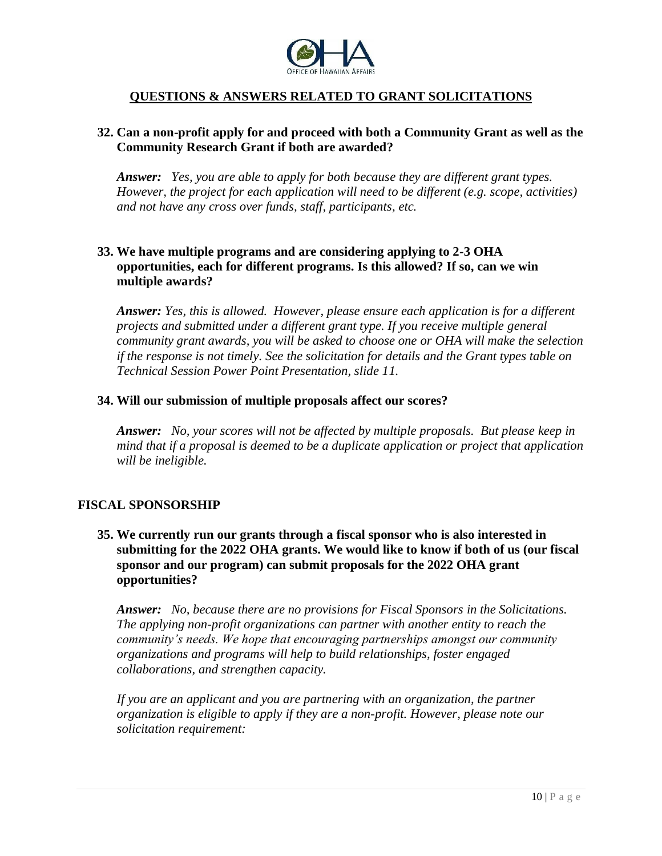

## **32. Can a non-profit apply for and proceed with both a Community Grant as well as the Community Research Grant if both are awarded?**

*Answer: Yes, you are able to apply for both because they are different grant types. However, the project for each application will need to be different (e.g. scope, activities) and not have any cross over funds, staff, participants, etc.*

## **33. We have multiple programs and are considering applying to 2-3 OHA opportunities, each for different programs. Is this allowed? If so, can we win multiple awards?**

*Answer: Yes, this is allowed. However, please ensure each application is for a different projects and submitted under a different grant type. If you receive multiple general community grant awards, you will be asked to choose one or OHA will make the selection if the response is not timely. See the solicitation for details and the Grant types table on Technical Session Power Point Presentation, slide 11.*

#### **34. Will our submission of multiple proposals affect our scores?**

*Answer: No, your scores will not be affected by multiple proposals. But please keep in mind that if a proposal is deemed to be a duplicate application or project that application will be ineligible.*

### **FISCAL SPONSORSHIP**

## **35. We currently run our grants through a fiscal sponsor who is also interested in submitting for the 2022 OHA grants. We would like to know if both of us (our fiscal sponsor and our program) can submit proposals for the 2022 OHA grant opportunities?**

*Answer: No, because there are no provisions for Fiscal Sponsors in the Solicitations. The applying non-profit organizations can partner with another entity to reach the community's needs. We hope that encouraging partnerships amongst our community organizations and programs will help to build relationships, foster engaged collaborations, and strengthen capacity.*

*If you are an applicant and you are partnering with an organization, the partner organization is eligible to apply if they are a non-profit. However, please note our solicitation requirement:*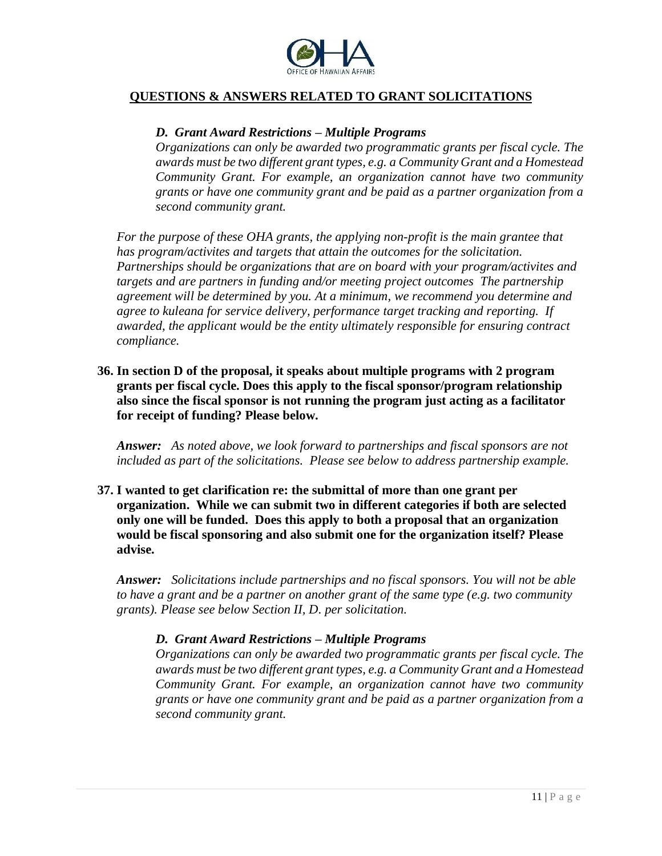

### *D. Grant Award Restrictions – Multiple Programs*

*Organizations can only be awarded two programmatic grants per fiscal cycle. The awards must be two different grant types, e.g. a Community Grant and a Homestead Community Grant. For example, an organization cannot have two community grants or have one community grant and be paid as a partner organization from a second community grant.*

*For the purpose of these OHA grants, the applying non-profit is the main grantee that has program/activites and targets that attain the outcomes for the solicitation. Partnerships should be organizations that are on board with your program/activites and targets and are partners in funding and/or meeting project outcomes The partnership agreement will be determined by you. At a minimum, we recommend you determine and agree to kuleana for service delivery, performance target tracking and reporting. If awarded, the applicant would be the entity ultimately responsible for ensuring contract compliance.*

**36. In section D of the proposal, it speaks about multiple programs with 2 program grants per fiscal cycle. Does this apply to the fiscal sponsor/program relationship also since the fiscal sponsor is not running the program just acting as a facilitator for receipt of funding? Please below.**

*Answer: As noted above, we look forward to partnerships and fiscal sponsors are not included as part of the solicitations. Please see below to address partnership example.*

**37. I wanted to get clarification re: the submittal of more than one grant per organization. While we can submit two in different categories if both are selected only one will be funded. Does this apply to both a proposal that an organization would be fiscal sponsoring and also submit one for the organization itself? Please advise.**

*Answer: Solicitations include partnerships and no fiscal sponsors. You will not be able to have a grant and be a partner on another grant of the same type (e.g. two community grants). Please see below Section II, D. per solicitation.*

#### *D. Grant Award Restrictions – Multiple Programs*

*Organizations can only be awarded two programmatic grants per fiscal cycle. The awards must be two different grant types, e.g. a Community Grant and a Homestead Community Grant. For example, an organization cannot have two community grants or have one community grant and be paid as a partner organization from a second community grant.*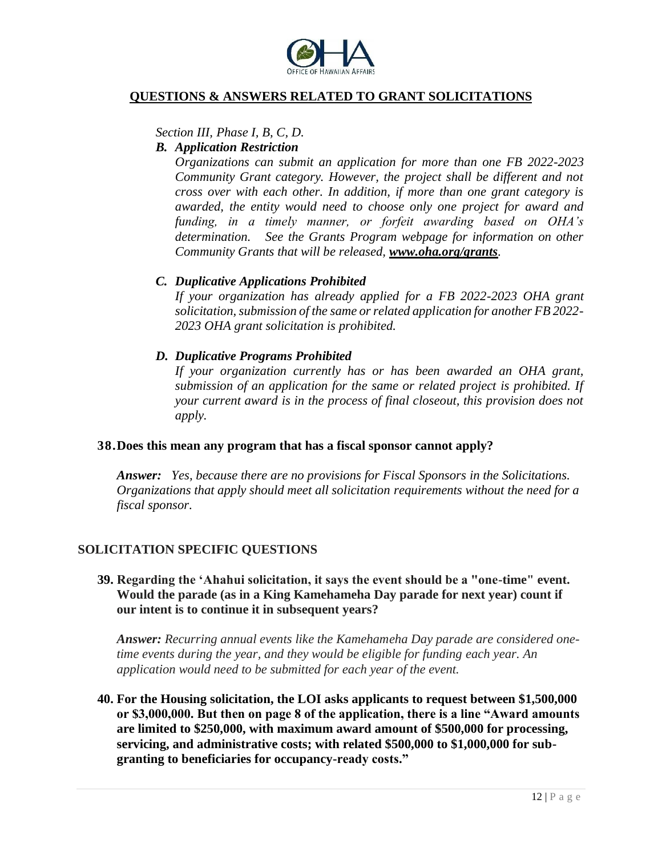

#### *Section III, Phase I, B, C, D.*

#### *B. Application Restriction*

*Organizations can submit an application for more than one FB 2022-2023 Community Grant category. However, the project shall be different and not cross over with each other. In addition, if more than one grant category is awarded, the entity would need to choose only one project for award and funding, in a timely manner, or forfeit awarding based on OHA's determination. See the Grants Program webpage for information on other Community Grants that will be released, [www.oha.org/grants](http://www.oha.org/grants).* 

### *C. Duplicative Applications Prohibited*

*If your organization has already applied for a FB 2022-2023 OHA grant solicitation, submission of the same or related application for another FB 2022- 2023 OHA grant solicitation is prohibited.* 

#### *D. Duplicative Programs Prohibited*

*If your organization currently has or has been awarded an OHA grant, submission of an application for the same or related project is prohibited. If your current award is in the process of final closeout, this provision does not apply.*

#### **38.Does this mean any program that has a fiscal sponsor cannot apply?**

*Answer: Yes, because there are no provisions for Fiscal Sponsors in the Solicitations. Organizations that apply should meet all solicitation requirements without the need for a fiscal sponsor.*

### **SOLICITATION SPECIFIC QUESTIONS**

## **39. Regarding the 'Ahahui solicitation, it says the event should be a "one-time" event. Would the parade (as in a King Kamehameha Day parade for next year) count if our intent is to continue it in subsequent years?**

*Answer: Recurring annual events like the Kamehameha Day parade are considered onetime events during the year, and they would be eligible for funding each year. An application would need to be submitted for each year of the event.*

**40. For the Housing solicitation, the LOI asks applicants to request between \$1,500,000 or \$3,000,000. But then on page 8 of the application, there is a line "Award amounts are limited to \$250,000, with maximum award amount of \$500,000 for processing, servicing, and administrative costs; with related \$500,000 to \$1,000,000 for subgranting to beneficiaries for occupancy-ready costs."**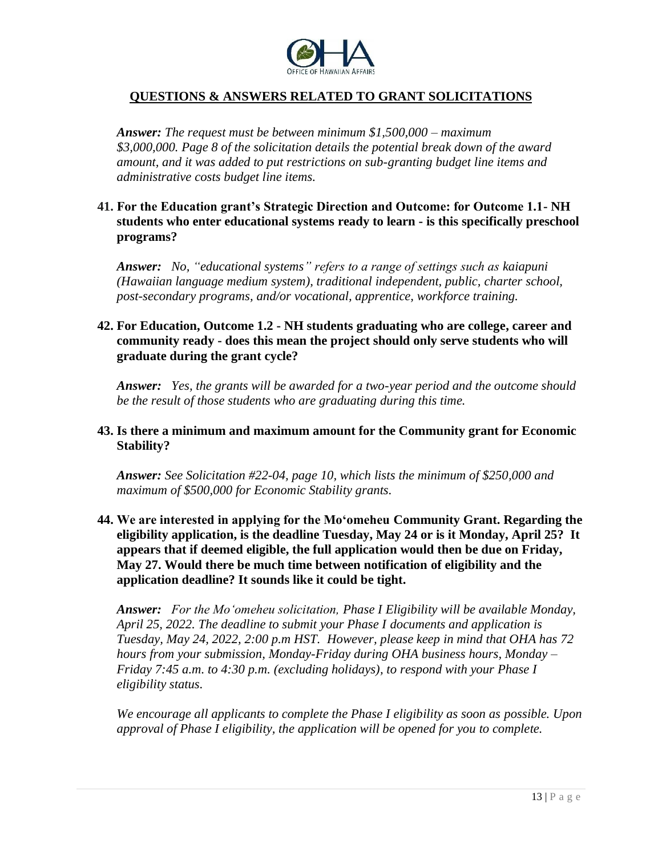

*Answer: The request must be between minimum \$1,500,000 – maximum \$3,000,000. Page 8 of the solicitation details the potential break down of the award amount, and it was added to put restrictions on sub-granting budget line items and administrative costs budget line items.*

## **41. For the Education grant's Strategic Direction and Outcome: for Outcome 1.1- NH students who enter educational systems ready to learn - is this specifically preschool programs?**

*Answer: No, "educational systems" refers to a range of settings such as kaiapuni (Hawaiian language medium system), traditional independent, public, charter school, post-secondary programs, and/or vocational, apprentice, workforce training.*

## **42. For Education, Outcome 1.2 - NH students graduating who are college, career and community ready - does this mean the project should only serve students who will graduate during the grant cycle?**

*Answer: Yes, the grants will be awarded for a two-year period and the outcome should be the result of those students who are graduating during this time.* 

### **43. Is there a minimum and maximum amount for the Community grant for Economic Stability?**

*Answer: See Solicitation #22-04, page 10, which lists the minimum of \$250,000 and maximum of \$500,000 for Economic Stability grants.*

## **44. We are interested in applying for the Mo'omeheu Community Grant. Regarding the eligibility application, is the deadline Tuesday, May 24 or is it Monday, April 25? It appears that if deemed eligible, the full application would then be due on Friday, May 27. Would there be much time between notification of eligibility and the application deadline? It sounds like it could be tight.**

*Answer: For the Mo'omeheu solicitation, Phase I Eligibility will be available Monday, April 25, 2022. The deadline to submit your Phase I documents and application is Tuesday, May 24, 2022, 2:00 p.m HST. However, please keep in mind that OHA has 72 hours from your submission, Monday-Friday during OHA business hours, Monday – Friday 7:45 a.m. to 4:30 p.m. (excluding holidays), to respond with your Phase I eligibility status.*

*We encourage all applicants to complete the Phase I eligibility as soon as possible. Upon approval of Phase I eligibility, the application will be opened for you to complete.*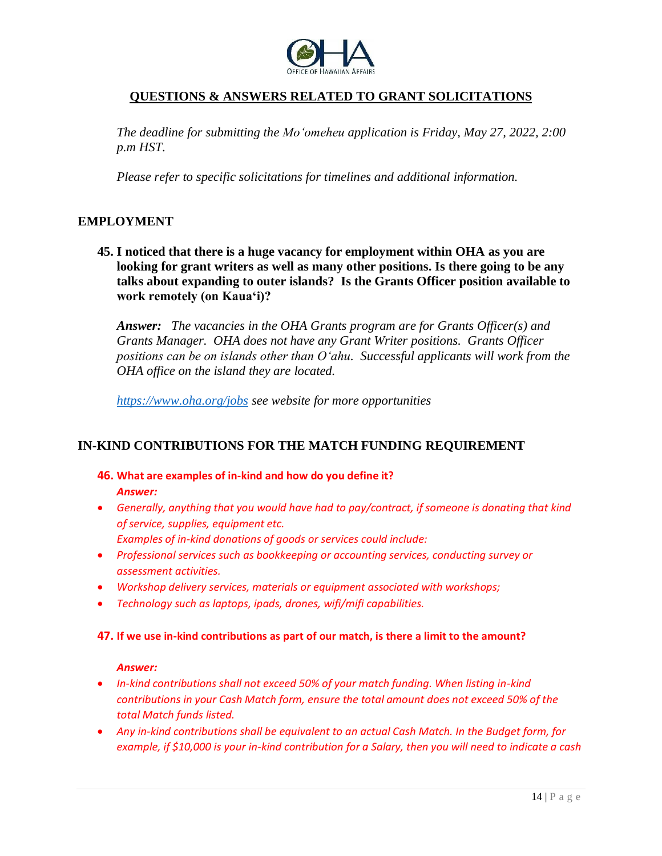

*The deadline for submitting the Mo'omeheu application is Friday, May 27, 2022, 2:00 p.m HST.*

*Please refer to specific solicitations for timelines and additional information.*

### **EMPLOYMENT**

**45. I noticed that there is a huge vacancy for employment within OHA as you are looking for grant writers as well as many other positions. Is there going to be any talks about expanding to outer islands? Is the Grants Officer position available to work remotely (on Kaua'i)?**

*Answer: The vacancies in the OHA Grants program are for Grants Officer(s) and Grants Manager. OHA does not have any Grant Writer positions. Grants Officer positions can be on islands other than O'ahu. Successful applicants will work from the OHA office on the island they are located.* 

*<https://www.oha.org/jobs> see website for more opportunities*

### **IN-KIND CONTRIBUTIONS FOR THE MATCH FUNDING REQUIREMENT**

- **46. What are examples of in-kind and how do you define it?** *Answer:*
- *Generally, anything that you would have had to pay/contract, if someone is donating that kind of service, supplies, equipment etc. Examples of in-kind donations of goods or services could include:*
- *Professional services such as bookkeeping or accounting services, conducting survey or assessment activities.*
- *Workshop delivery services, materials or equipment associated with workshops;*
- *Technology such as laptops, ipads, drones, wifi/mifi capabilities.*

#### **47. If we use in-kind contributions as part of our match, is there a limit to the amount?**

#### *Answer:*

- *In-kind contributions shall not exceed 50% of your match funding. When listing in-kind contributions in your Cash Match form, ensure the total amount does not exceed 50% of the total Match funds listed.*
- *Any in-kind contributions shall be equivalent to an actual Cash Match. In the Budget form, for example, if \$10,000 is your in-kind contribution for a Salary, then you will need to indicate a cash*